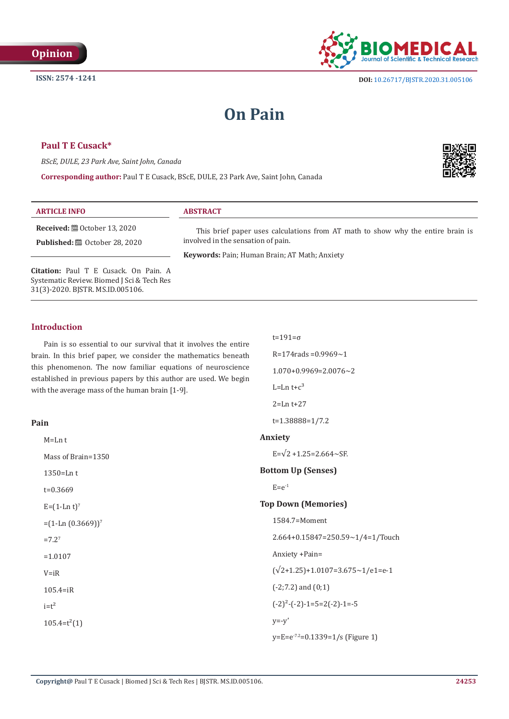

# **On Pain**

# **Paul T E Cusack\***

*BScE, DULE, 23 Park Ave, Saint John, Canada*

**Corresponding author:** Paul T E Cusack, BScE, DULE, 23 Park Ave, Saint John, Canada



| <b>ARTICLE INFO</b>                             | <b>ABSTRACT</b>                                                                 |
|-------------------------------------------------|---------------------------------------------------------------------------------|
| <b>Received:</b> $\mathbf{m}$ October 13, 2020  | This brief paper uses calculations from AT math to show why the entire brain is |
| <b>Published:</b> $\mathbf{a}$ October 28, 2020 | involved in the sensation of pain.                                              |
|                                                 | <b>Keywords: Pain; Human Brain; AT Math; Anxiety</b>                            |

t=191=σ

 $L=Ln t+c<sup>3</sup>$ 2=Ln t+27

t=1.38888=1/7.2

R=174rads =0.9969~1  $1.070+0.9969=2.0076\sim2$ 

**Citation:** Paul T E Cusack. On Pain. A Systematic Review. Biomed J Sci & Tech Res 31(3)-2020. BJSTR. MS.ID.005106.

# **Introduction**

Pain is so essential to our survival that it involves the entire brain. In this brief paper, we consider the mathematics beneath this phenomenon. The now familiar equations of neuroscience established in previous papers by this author are used. We begin with the average mass of the human brain [1-9].

#### **Pain**

| $M=Ln$ t            | Anxiety                                    |
|---------------------|--------------------------------------------|
| Mass of Brain=1350  | $E=\sqrt{2} + 1.25 = 2.664 \sim SF$ .      |
| $1350 = Ln t$       | <b>Bottom Up (Senses)</b>                  |
| $t = 0.3669$        | $E=e^{-1}$                                 |
| $E = (1-Ln t)^7$    | <b>Top Down (Memories)</b>                 |
| $=(1-Ln(0.3669))^7$ | 1584.7=Moment                              |
| $=7.27$             | $2.664+0.15847=250.59\sim1/4=1/Touch$      |
| $=1.0107$           | Anxiety +Pain=                             |
| $V = iR$            | $(\sqrt{2}+1.25)+1.0107=3.675\sim1/e1=e-1$ |
| $105.4 = iR$        | $(-2, 7.2)$ and $(0, 1)$                   |
| $i=t^2$             | $(-2)^{2}$ - $(-2)$ -1=5=2 $(-2)$ -1=-5    |
| $105.4=t^2(1)$      | $y=-y'$                                    |
|                     | $y=E=e^{-7.2}=0.1339=1/s$ (Figure 1)       |